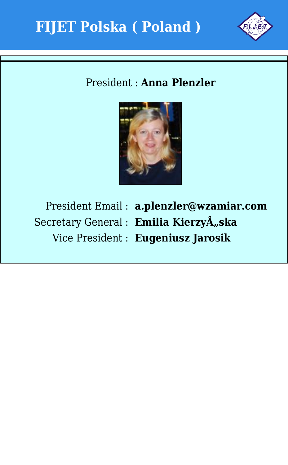



## President : **Anna Plenzler**



President Email : **a.plenzler@wzamiar.com** Secretary General : Emilia KierzyÅ<sub>"Ska</sub> Vice President : **Eugeniusz Jarosik**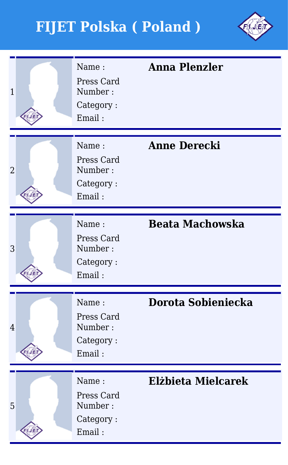

| $\overline{1}$ | Name:<br>Press Card<br>Number:<br>Category:<br>Email: | <b>Anna Plenzler</b>   |
|----------------|-------------------------------------------------------|------------------------|
| $\overline{2}$ | Name:<br>Press Card<br>Number:<br>Category:<br>Email: | <b>Anne Derecki</b>    |
| 3              | Name:<br>Press Card<br>Number:<br>Category:<br>Email: | <b>Beata Machowska</b> |
| $\overline{4}$ | Name:<br>Press Card<br>Number:<br>Category:<br>Email: | Dorota Sobieniecka     |
| 5              | Name:<br>Press Card<br>Number:<br>Category:<br>Email: | Elżbieta Mielcarek     |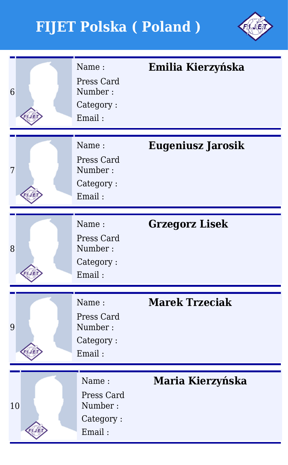

| 6  | Name:<br>Press Card<br>Number:<br>Category:<br>Email: | Emilia Kierzyńska        |
|----|-------------------------------------------------------|--------------------------|
| 7  | Name:<br>Press Card<br>Number:<br>Category:<br>Email: | <b>Eugeniusz Jarosik</b> |
| 8  | Name:<br>Press Card<br>Number:<br>Category:<br>Email: | <b>Grzegorz Lisek</b>    |
| 9  | Name:<br>Press Card<br>Number:<br>Category:<br>Email: | <b>Marek Trzeciak</b>    |
| 10 | Name:<br>Press Card<br>Number:<br>Category:<br>Email: | Maria Kierzyńska         |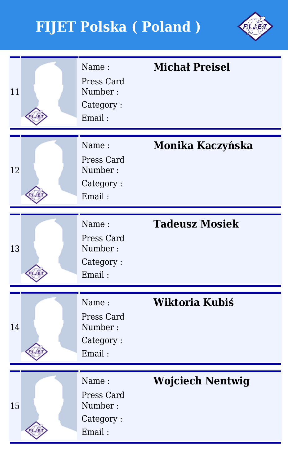

| 11 | Name:<br>Press Card<br>Number:<br>Category:<br>Email: | <b>Michał Preisel</b>   |
|----|-------------------------------------------------------|-------------------------|
| 12 | Name:<br>Press Card<br>Number:<br>Category:<br>Email: | Monika Kaczyńska        |
| 13 | Name:<br>Press Card<br>Number:<br>Category:<br>Email: | <b>Tadeusz Mosiek</b>   |
| 14 | Name:<br>Press Card<br>Number:<br>Category:<br>Email: | Wiktoria Kubiś          |
| 15 | Name:<br>Press Card<br>Number:<br>Category:<br>Email: | <b>Wojciech Nentwig</b> |